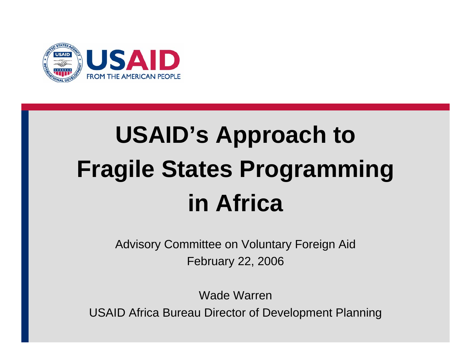

# **USAID's Approach to Fragile States Programming in Africa**

Advisory Committee on Voluntary Foreign Aid February 22, 2006

Wade WarrenUSAID Africa Bureau Director of Development Planning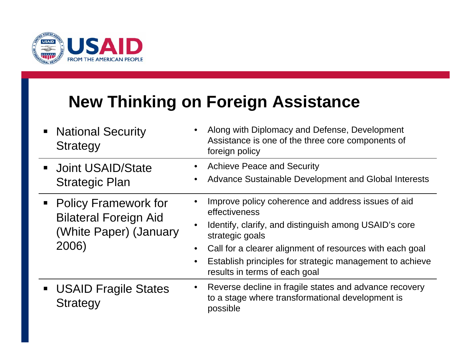

#### **New Thinking on Foreign Assistance**

| • National Security<br><b>Strategy</b>                                                    | Along with Diplomacy and Defense, Development<br>Assistance is one of the three core components of<br>foreign policy                                                                                                                                                                                     |
|-------------------------------------------------------------------------------------------|----------------------------------------------------------------------------------------------------------------------------------------------------------------------------------------------------------------------------------------------------------------------------------------------------------|
| <b>Joint USAID/State</b><br><b>Strategic Plan</b>                                         | <b>Achieve Peace and Security</b><br>Advance Sustainable Development and Global Interests                                                                                                                                                                                                                |
| • Policy Framework for<br><b>Bilateral Foreign Aid</b><br>(White Paper) (January<br>2006) | Improve policy coherence and address issues of aid<br>effectiveness<br>Identify, clarify, and distinguish among USAID's core<br>strategic goals<br>Call for a clearer alignment of resources with each goal<br>Establish principles for strategic management to achieve<br>results in terms of each goal |
| <b>USAID Fragile States</b><br><b>Strategy</b>                                            | • Reverse decline in fragile states and advance recovery<br>to a stage where transformational development is<br>possible                                                                                                                                                                                 |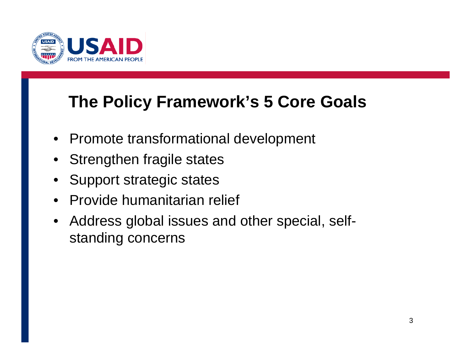

#### **The Policy Framework's 5 Core Goals**

- Promote transformational development
- Strengthen fragile states
- Support strategic states
- Provide humanitarian relief
- Address global issues and other special, selfstanding concerns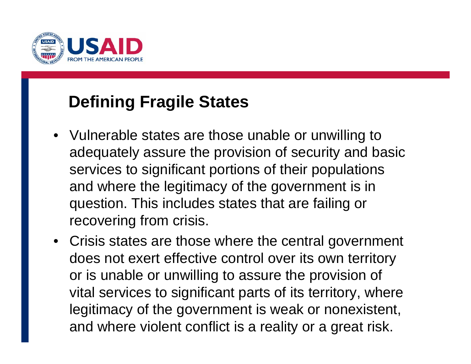

#### **Defining Fragile States**

- Vulnerable states are those unable or unwilling to adequately assure the provision of security and basic services to signi ficant portions of their populations and where the legitimacy of the government is in question. This includes states that are failing or recovering from crisis.
- Crisis states are those where the central government does not exert effective control over its own territory or is unable or unwilling to assure the provision of vital services to signi ficant parts of its territory, where legitimacy of the government is weak or nonexistent, and where violent con flict is a reality or a great risk.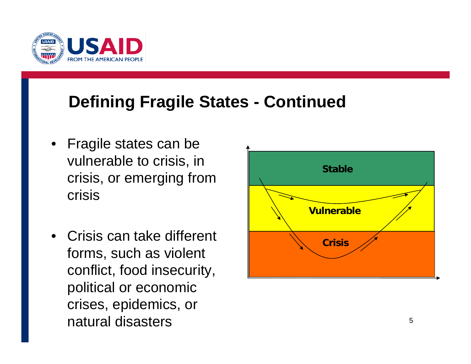

#### **Defining Fragile States - Continued**

- Fragile states can be vulnerable to crisis, in crisis, or emerging from crisis
- • Crisis can take different forms, such as violent conflict, food insecurity, political or economic crises, epidemics, or natural disasters

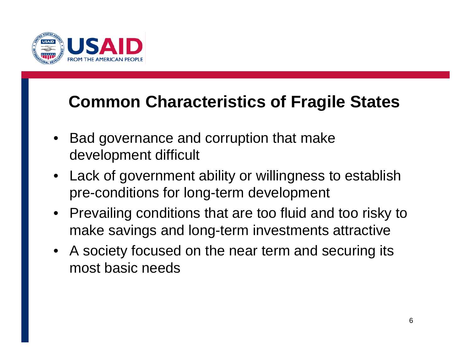

#### **Common Characteristics of Fragile States**

- • Bad governance and corruption that make development difficult
- Lack of government ability or willingness to establish pre-conditions for long-term development
- Prevailing conditions that are too fluid and too risky to make savings and long-term investments attractive
- A society focused on the near term and securing its most basic needs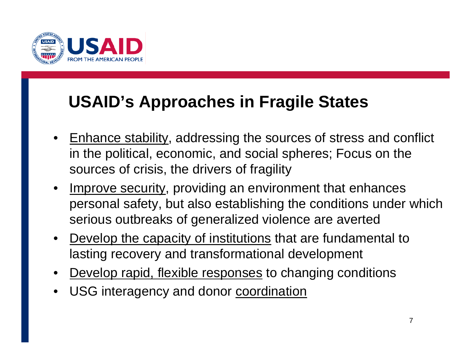

#### **USAID's Approaches in Fragile States**

- • Enhance stability, addressing the sources of stress and conflict in the political, economic, and social spheres; Focus on the sources of crisis, the drivers of fragility
- •Improve security, providing an environment that enhances personal safety, but also establishing the conditions under which serious outbreaks of generalized violence are averted
- • Develop the capacity of institutions that are fundamental to lasting recovery and transformational development
- •Develop rapid, flexible responses to changing conditions
- •USG interagency and donor coordination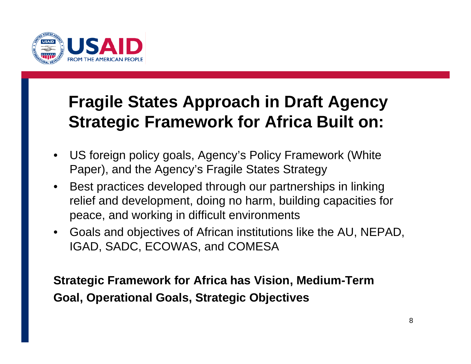

#### **Fragile States Approach in Draft Agency Strategic Framework for Africa Built on:**

- $\bullet$  US foreign policy goals, Agency's Policy Framework (White Paper), and the Agency's Fragile States Strategy
- $\bullet$  Best practices developed through our partnerships in linking relief and development, doing no harm, building capacities for peace, and working in difficult environments
- $\bullet$  Goals and objectives of African institutions like the AU, NEPAD, IGAD, SADC, ECOWAS, and COMESA

**Strategic Framework for Africa has Vision, Medium-Term Goal, Operational Goals, Strategic Objectives**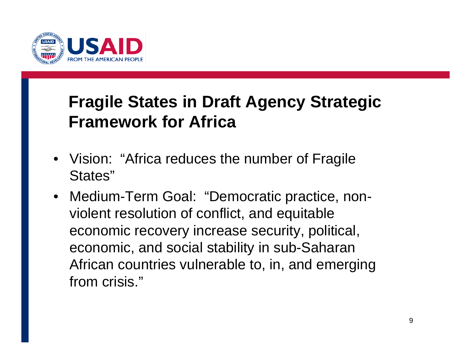

### **Fragile States in Draft Agency Strategic Framework for Africa**

- Vision: "Africa reduces the number of Fragile States"
- Medium-Term Goal: "Democratic practice, nonviolent resolution of conflict, and equitable economic recovery increase security, political, economic, and social stability in sub-Saharan African countries vulnerable to, in, and emerging from crisis."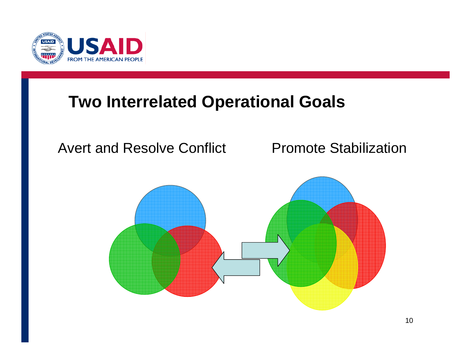

#### **Two Interrelated Operational Goals**

#### Avert and Resolve Conflict Promote Stabilization

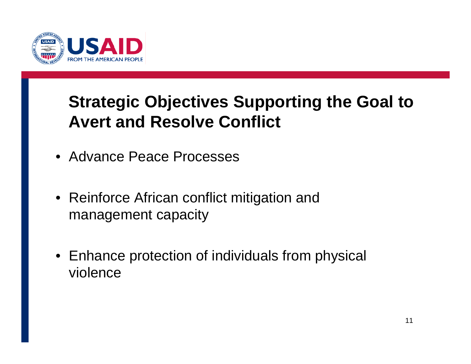

## **Strategic Objectives Supporting the Goal to Avert and Resolve Conflict**

- Advance Peace Processes
- Reinforce African conflict mitigation and management capacity
- Enhance protection of individuals from physical violence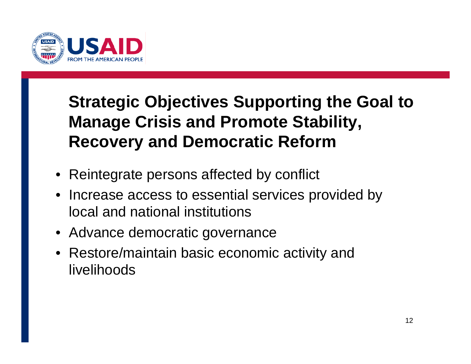

## **Strategic Objectives Supporting the Goal to Manage Crisis and Promote Stability, Recovery and Democratic Reform**

- Reintegrate persons affected by conflict
- Increase access to essential services provided by local and national institutions
- Advance democratic governance
- Restore/maintain basic economic activity and livelihoods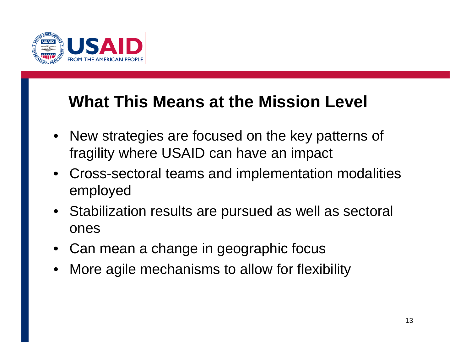

#### **What This Means at the Mission Level**

- New strategies are focused on the key patterns of fragility where USAID can have an impact
- Cross-sectoral teams and implementation modalities employed
- Stabilization results are pursued as well as sectoral ones
- Can mean a change in geographic focus
- •More agile mechanisms to allow for flexibility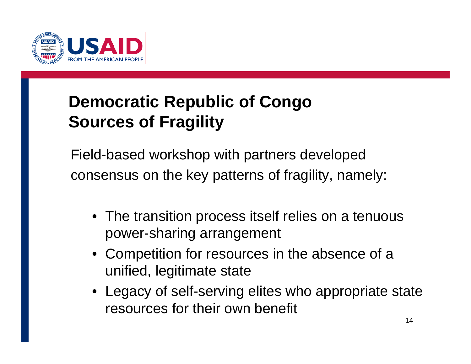

## **Democratic Republic of Congo Sources of Fragility**

Field-based workshop with partners developed consensus on the key patterns of fragility, namely:

- The transition process itself relies on a tenuous power-sharing arrangement
- Competition for resources in the absence of a unified, legitimate state
- Legacy of self-serving elites who appropriate state resources for their own benefit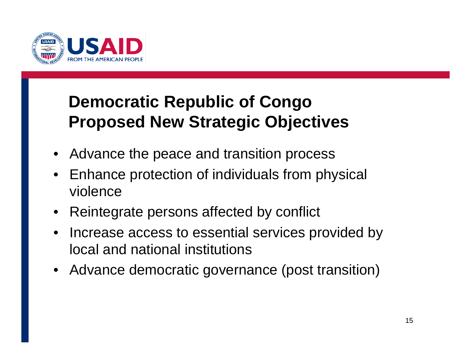

#### **Democratic Republic of Congo Proposed New Strategic Objectives**

- Advance the peace and transition process
- Enhance protection of individuals from physical violence
- Reintegrate persons affected by conflict
- Increase access to essential services provided by local and national institutions
- Advance democratic governance (post transition)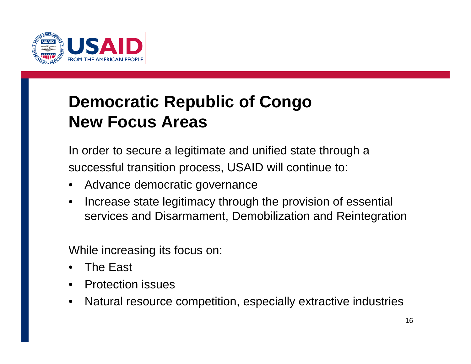

#### **Democratic Republic of Congo New Focus Areas**

In order to secure a legitimate and unified state through a successful transition process, USAID will continue to:

- •Advance democratic governance
- • Increase state legitimacy through the provision of essential services and Disarmament, Demobilization and Reintegration

While increasing its focus on:

- •The East
- •Protection issues
- •Natural resource competition, especially extractive industries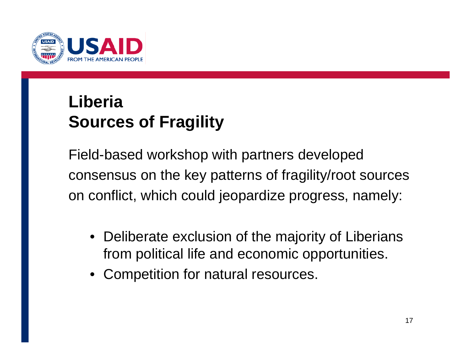

## **LiberiaSources of Fragility**

Field-based workshop with partners developed consensus on the key patterns of fragility/root sources on conflict, which could jeopardize progress, namely:

- Deliberate exclusion of the majority of Liberians from political life and economic opportunities.
- Competition for natural resources.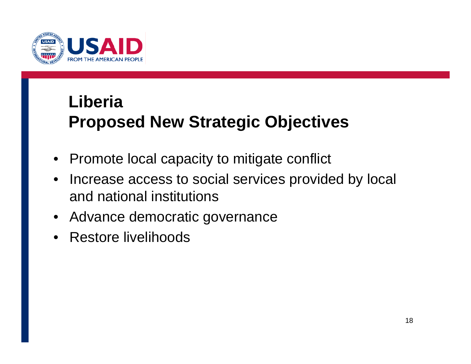

## **Liberia**

## **Proposed New Strategic Objectives**

- Promote local capacity to mitigate conflict
- $\bullet$  Increase access to social services provided by local and national institutions
- Advance democratic governance
- Restore livelihoods